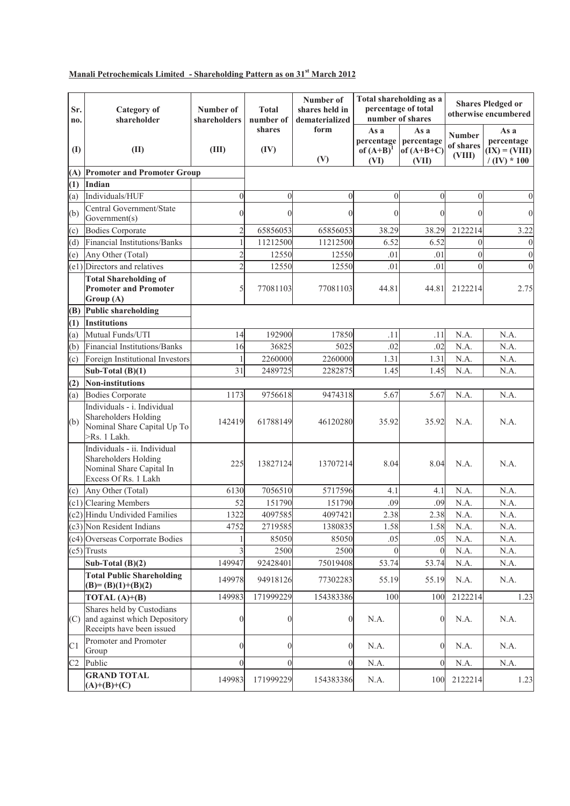## **Manali Petrochemicals Limited - Shareholding Pattern as on 31st March 2012**

| Sr.<br>no.     | <b>Category</b> of<br>shareholder                                                                        | Number of<br>shareholders | <b>Total</b><br>number of | Number of<br>shares held in<br>dematerialized | Total shareholding as a<br>percentage of total<br>number of shares |                                             | <b>Shares Pledged or</b><br>otherwise encumbered |                                                         |
|----------------|----------------------------------------------------------------------------------------------------------|---------------------------|---------------------------|-----------------------------------------------|--------------------------------------------------------------------|---------------------------------------------|--------------------------------------------------|---------------------------------------------------------|
| (I)            | (II)                                                                                                     | (III)                     | shares<br>(IV)            | form<br>(V)                                   | As a<br>percentage<br>of $(A+B)^1$<br>(VI)                         | As a<br>percentage<br>of $(A+B+C)$<br>(VII) | <b>Number</b><br>of shares<br>(VIII)             | As a<br>percentage<br>$(IX) = (VIII)$<br>$/$ (IV) * 100 |
| (A)            | <b>Promoter and Promoter Group</b>                                                                       |                           |                           |                                               |                                                                    |                                             |                                                  |                                                         |
| (1)            | Indian                                                                                                   |                           |                           |                                               |                                                                    |                                             |                                                  |                                                         |
| (a)            | Individuals/HUF                                                                                          | $\theta$                  | $\Omega$                  | $\theta$                                      | $\mathbf{0}$                                                       | $\overline{0}$                              | $\overline{0}$                                   | $\boldsymbol{0}$                                        |
| (b)            | Central Government/State<br>Government(s)                                                                | $\theta$                  | $\theta$                  | $\Omega$                                      | $\theta$                                                           | $\theta$                                    | $\theta$                                         | $\mathbf{0}$                                            |
| (c)            | <b>Bodies Corporate</b>                                                                                  | $\overline{c}$            | 65856053                  | 65856053                                      | 38.29                                                              | 38.29                                       | 2122214                                          | 3.22                                                    |
| (d)            | <b>Financial Institutions/Banks</b>                                                                      | 1                         | 11212500                  | 11212500                                      | 6.52                                                               | 6.52                                        | $\theta$                                         | $\boldsymbol{0}$                                        |
| (e)            | Any Other (Total)                                                                                        | 2                         | 12550                     | 12550                                         | .01                                                                | .01                                         | $\overline{0}$                                   | $\boldsymbol{0}$                                        |
|                | (e1) Directors and relatives                                                                             | $\overline{2}$            | 12550                     | 12550                                         | .01                                                                | .01                                         | $\theta$                                         | $\mathbf{0}$                                            |
|                | <b>Total Shareholding of</b><br><b>Promoter and Promoter</b><br>Group (A)                                | 5                         | 77081103                  | 77081103                                      | 44.81                                                              | 44.81                                       | 2122214                                          | 2.75                                                    |
| (B)            | <b>Public shareholding</b>                                                                               |                           |                           |                                               |                                                                    |                                             |                                                  |                                                         |
| (1)            | <b>Institutions</b>                                                                                      |                           |                           |                                               |                                                                    |                                             |                                                  |                                                         |
| (a)            | Mutual Funds/UTI                                                                                         | 14                        | 192900                    | 17850                                         | .11                                                                | .11                                         | N.A.                                             | N.A.                                                    |
| (b)            | Financial Institutions/Banks                                                                             | 16                        | 36825                     | 5025                                          | .02                                                                | .02                                         | N.A.                                             | N.A.                                                    |
| (c)            | Foreign Institutional Investors                                                                          | 1                         | 2260000                   | 2260000                                       | 1.31                                                               | 1.31                                        | N.A.                                             | N.A.                                                    |
|                | Sub-Total $(B)(1)$                                                                                       | 31                        | 2489725                   | 2282875                                       | 1.45                                                               | 1.45                                        | N.A.                                             | N.A.                                                    |
| (2)            | <b>Non-institutions</b>                                                                                  |                           |                           |                                               |                                                                    |                                             |                                                  |                                                         |
| (a)            | <b>Bodies Corporate</b>                                                                                  | 1173                      | 9756618                   | 9474318                                       | 5.67                                                               | 5.67                                        | N.A.                                             | N.A.                                                    |
| (b)            | Individuals - i. Individual<br>Shareholders Holding<br>Nominal Share Capital Up To<br>>Rs. 1 Lakh.       | 142419                    | 61788149                  | 46120280                                      | 35.92                                                              | 35.92                                       | N.A.                                             | N.A.                                                    |
|                | Individuals - ii. Individual<br>Shareholders Holding<br>Nominal Share Capital In<br>Excess Of Rs. 1 Lakh | 225                       | 13827124                  | 13707214                                      | 8.04                                                               | 8.04                                        | N.A.                                             | N.A.                                                    |
| (c)            | Any Other (Total)                                                                                        | 6130                      | 7056510                   | 5717596                                       | 4.1                                                                | 4.1                                         | N.A.                                             | N.A.                                                    |
| (c1)           | <b>Clearing Members</b>                                                                                  | 52                        | 151790                    | 151790                                        | .09                                                                | .09                                         | N.A.                                             | N.A.                                                    |
|                | (c2) Hindu Undivided Families                                                                            | 1322                      | 4097585                   | 4097421                                       | 2.38                                                               | 2.38                                        | N.A.                                             | N.A.                                                    |
|                | (c3) Non Resident Indians                                                                                | 4752                      | 2719585                   | 1380835                                       | 1.58                                                               | 1.58                                        | N.A.                                             | N.A.                                                    |
|                | (c4) Overseas Corporrate Bodies                                                                          |                           | 85050                     | 85050                                         | .05                                                                | .05                                         | N.A.                                             | N.A.                                                    |
|                | $(c5)$ Trusts                                                                                            | 3                         | 2500                      | 2500                                          | $\theta$                                                           | $\theta$                                    | N.A.                                             | N.A.                                                    |
|                | Sub-Total $(B)(2)$                                                                                       | 149947                    | 92428401                  | 75019408                                      | 53.74                                                              | 53.74                                       | N.A.                                             | N.A.                                                    |
|                | <b>Total Public Shareholding</b><br>$(B)=(B)(1)+(B)(2)$                                                  | 149978                    | 94918126                  | 77302283                                      | 55.19                                                              | 55.19                                       | N.A.                                             | N.A.                                                    |
|                | TOTAL $(A)+(B)$                                                                                          | 149983                    | 171999229                 | 154383386                                     | 100                                                                | 100                                         | 2122214                                          | 1.23                                                    |
| (C)            | Shares held by Custodians<br>and against which Depository<br>Receipts have been issued                   | $\boldsymbol{0}$          | $\theta$                  | $\overline{0}$                                | N.A.                                                               | $\mathbf{0}$                                | N.A.                                             | N.A.                                                    |
| C <sub>1</sub> | Promoter and Promoter<br>Group                                                                           | $\overline{0}$            | $\vert$                   | $\theta$                                      | N.A.                                                               | $\boldsymbol{0}$                            | N.A.                                             | N.A.                                                    |
| C <sub>2</sub> | Public                                                                                                   | $\Omega$                  | $\theta$                  | $\Omega$                                      | N.A.                                                               | $\theta$                                    | N.A.                                             | N.A.                                                    |
|                | <b>GRAND TOTAL</b><br>$(A)+(B)+(C)$                                                                      | 149983                    | 171999229                 | 154383386                                     | N.A.                                                               | 100                                         | 2122214                                          | 1.23                                                    |